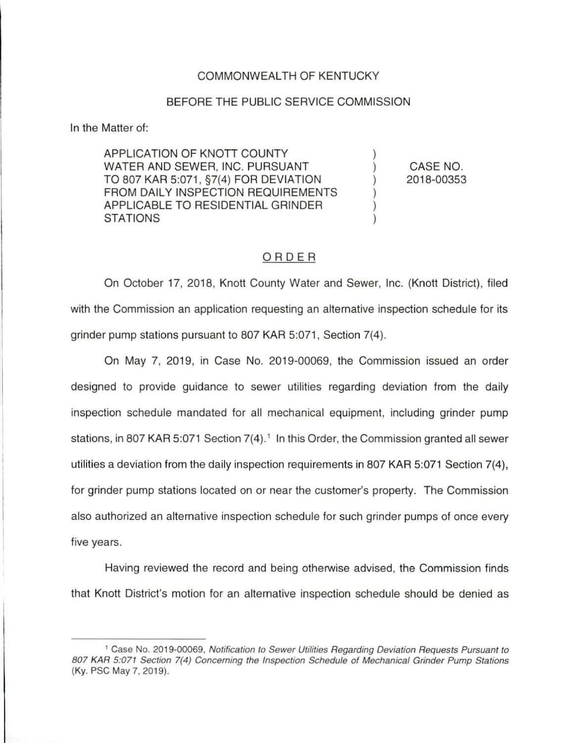## COMMONWEALTH OF KENTUCKY

## BEFORE THE PUBLIC SERVICE COMMISSION

In the Matter of:

APPLICATION OF KNOTT COUNTY WATER AND SEWER, INC. PURSUANT TO 807 KAR 5:071 , §7(4) FOR DEVIATION FROM DAILY INSPECTION REQUIREMENTS APPLICABLE TO RESIDENTIAL GRINDER **STATIONS** 

CASE NO. 2018-00353

## ORDER

On October 17, 2018, Knott County Water and Sewer, Inc. (Knott District), filed with the Commission an application requesting an alternative inspection schedule for its grinder pump stations pursuant to 807 KAR 5:071, Section 7(4).

On May 7, 2019, in Case No. 2019-00069, the Commission issued an order designed to provide guidance to sewer utilities regarding deviation from the daily inspection schedule mandated for all mechanical equipment, including grinder pump stations, in 807 KAR 5:071 Section 7(4). 1 In this Order, the Commission granted all sewer utilities a deviation from the daily inspection requirements in 807 KAR 5:071 Section 7(4), for grinder pump stations located on or near the customer's property. The Commission also authorized an alternative inspection schedule for such grinder pumps of once every five years.

Having reviewed the record and being otherwise advised, the Commission finds that Knott District's motion for an alternative inspection schedule should be denied as

<sup>1</sup>Case No. 2019-00069, Notification to Sewer Utilities Regarding Deviation Requests Pursuant to 807 KAR 5:071 Section 7(4) Concerning the Inspection Schedule of Mechanical Grinder Pump Stations (Ky. PSC May 7, 2019).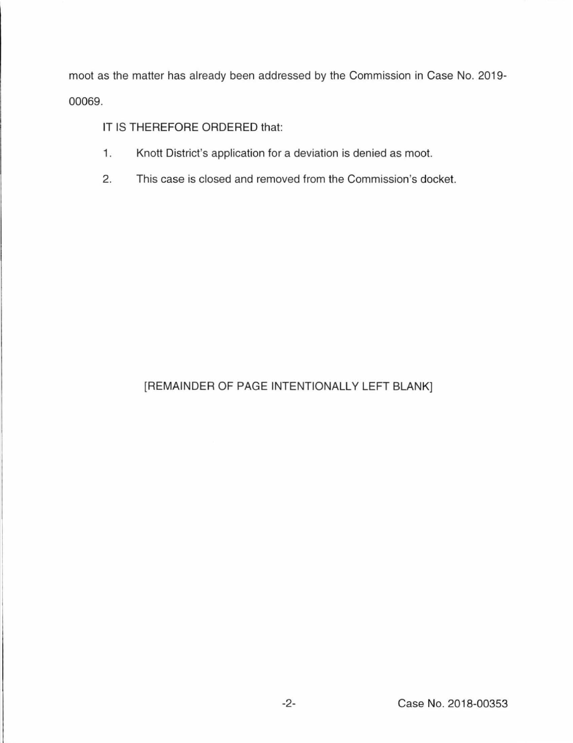moot as the matter has already been addressed by the Commission in Case No. 2019- 00069.

IT IS THEREFORE ORDERED that:

- 1. Knott District's application for a deviation is denied as moot.
- 2. This case is closed and removed from the Commission's docket.

## [REMAINDER OF PAGE INTENTIONALLY LEFT BLANK]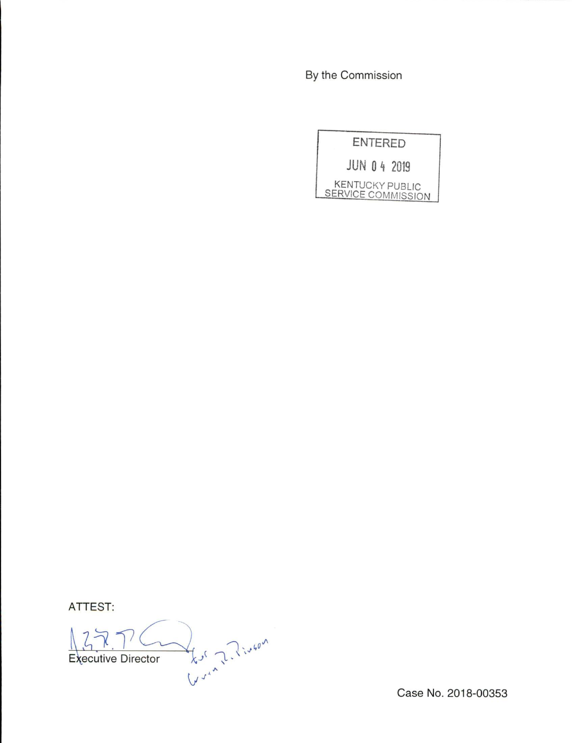By the Commission

ENTERED JUN 0 4 2019 KENTUCKY PUBLIC<br>SERVICE COMMISSION

**ATTEST:** 

Kur Z. Pingon Executive Director

Case No. 2018-00353